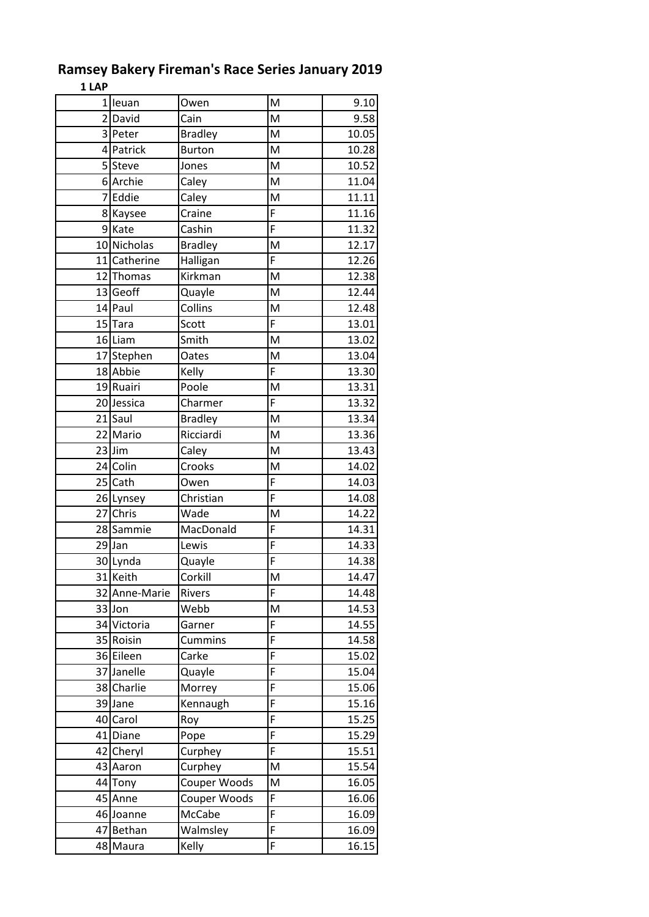|                | 1 leuan       | Owen           | M              | 9.10  |
|----------------|---------------|----------------|----------------|-------|
| $\overline{2}$ | David         | Cain           | M              | 9.58  |
|                | 3 Peter       | <b>Bradley</b> | M              | 10.05 |
|                | 4 Patrick     | <b>Burton</b>  | M              | 10.28 |
| 5 <sup>1</sup> | Steve         | Jones          | M              | 10.52 |
|                | 6 Archie      | Caley          | M              | 11.04 |
| $\overline{7}$ | Eddie         | Caley          | M              | 11.11 |
|                | 8 Kaysee      | Craine         | F              | 11.16 |
|                | 9Kate         | Cashin         | F              | 11.32 |
|                | 10 Nicholas   | <b>Bradley</b> | M              | 12.17 |
|                | 11 Catherine  | Halligan       | F              | 12.26 |
|                | 12 Thomas     | Kirkman        | M              | 12.38 |
| 13             | Geoff         | Quayle         | M              | 12.44 |
|                | 14 Paul       | Collins        | M              | 12.48 |
|                | 15 Tara       | Scott          | F              | 13.01 |
|                | 16 Liam       | Smith          | M              | 13.02 |
|                | 17 Stephen    | Oates          | M              | 13.04 |
|                | 18 Abbie      | Kelly          | F              | 13.30 |
|                | 19 Ruairi     | Poole          | M              | 13.31 |
|                | 20 Jessica    | Charmer        | F              | 13.32 |
|                | 21 Saul       | <b>Bradley</b> | M              | 13.34 |
|                | 22 Mario      | Ricciardi      | M              | 13.36 |
|                | $23$ Jim      | Caley          | M              | 13.43 |
|                | 24 Colin      | Crooks         | M              | 14.02 |
| 25             | Cath          | Owen           | F              | 14.03 |
|                | 26 Lynsey     | Christian      | F              | 14.08 |
| 27             | Chris         | Wade           | M              | 14.22 |
|                | 28 Sammie     | MacDonald      | F              | 14.31 |
|                | $29$ Jan      | Lewis          | $\overline{F}$ | 14.33 |
|                | 30 Lynda      | Quayle         | F              | 14.38 |
|                | 31 Keith      | Corkill        | M              | 14.47 |
|                | 32 Anne-Marie | Rivers         | F              | 14.48 |
|                | 33 Jon        | Webb           | M              | 14.53 |
|                | 34 Victoria   | Garner         | F              | 14.55 |
|                | 35 Roisin     | Cummins        | F              | 14.58 |
|                | 36 Eileen     | Carke          | F              | 15.02 |
|                | 37 Janelle    | Quayle         | F              | 15.04 |
|                | 38 Charlie    | Morrey         | F              | 15.06 |
|                | 39 Jane       | Kennaugh       | F              | 15.16 |
|                | 40 Carol      | Roy            | F              | 15.25 |
|                | 41 Diane      | Pope           | F              | 15.29 |
|                | 42 Cheryl     | Curphey        | F              | 15.51 |
|                | 43 Aaron      | Curphey        | M              | 15.54 |
|                | 44 Tony       | Couper Woods   | M              | 16.05 |
|                | 45 Anne       | Couper Woods   | F              | 16.06 |
|                | 46 Joanne     | McCabe         | F              | 16.09 |
|                | 47 Bethan     | Walmsley       | F              | 16.09 |
|                | 48 Maura      | Kelly          | F              | 16.15 |
|                |               |                |                |       |

## **Ramsey Bakery Fireman's Race Series January 2019 1 LAP**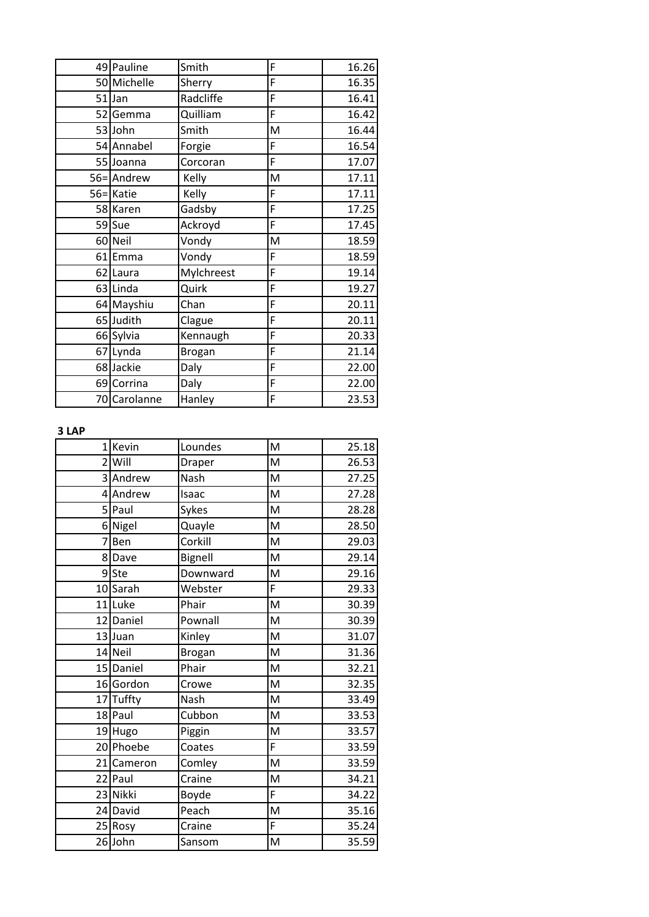|       | 49 Pauline   | Smith         | F | 16.26 |
|-------|--------------|---------------|---|-------|
|       | 50 Michelle  | Sherry        | F | 16.35 |
|       | $51$ Jan     | Radcliffe     | F | 16.41 |
|       | 52 Gemma     | Quilliam      | F | 16.42 |
|       | 53 John      | Smith         | M | 16.44 |
|       | 54 Annabel   | Forgie        | F | 16.54 |
|       | 55 Joanna    | Corcoran      | F | 17.07 |
|       | 56=Andrew    | Kelly         | M | 17.11 |
|       | 56=Katie     | Kelly         | F | 17.11 |
|       | 58 Karen     | Gadsby        | F | 17.25 |
|       | 59 Sue       | Ackroyd       | F | 17.45 |
|       | 60 Neil      | Vondy         | M | 18.59 |
|       | 61 Emma      | Vondy         | F | 18.59 |
|       | 62 Laura     | Mylchreest    | Ë | 19.14 |
|       | 63 Linda     | Quirk         | F | 19.27 |
|       | 64 Mayshiu   | Chan          | F | 20.11 |
|       | 65 Judith    | Clague        | F | 20.11 |
|       | 66 Sylvia    | Kennaugh      | F | 20.33 |
|       | 67 Lynda     | <b>Brogan</b> | F | 21.14 |
|       | 68 Jackie    | Daly          | F | 22.00 |
|       | 69 Corrina   | Daly          | F | 22.00 |
|       | 70 Carolanne | Hanley        | F | 23.53 |
| 3 LAP |              |               |   |       |

|                | 1 Kevin    | Loundes       | M | 25.18 |
|----------------|------------|---------------|---|-------|
| $\overline{2}$ | Will       | Draper        | M | 26.53 |
|                | 3 Andrew   | Nash          | M | 27.25 |
|                | 4 Andrew   | Isaac         | M | 27.28 |
|                | 5 Paul     | Sykes         | M | 28.28 |
|                | 6 Nigel    | Quayle        | M | 28.50 |
| 7              | Ben        | Corkill       | M | 29.03 |
|                | 8Dave      | Bignell       | M | 29.14 |
| 9              | Ste        | Downward      | M | 29.16 |
|                | 10 Sarah   | Webster       | F | 29.33 |
| 11             | Luke       | Phair         | M | 30.39 |
|                | 12 Daniel  | Pownall       | M | 30.39 |
|                | 13 Juan    | Kinley        | M | 31.07 |
|                | 14 Neil    | <b>Brogan</b> | M | 31.36 |
|                | 15 Daniel  | Phair         | M | 32.21 |
|                | 16 Gordon  | Crowe         | M | 32.35 |
|                | 17 Tuffty  | Nash          | M | 33.49 |
|                | 18 Paul    | Cubbon        | M | 33.53 |
|                | 19 Hugo    | Piggin        | M | 33.57 |
|                | 20 Phoebe  | Coates        | F | 33.59 |
|                | 21 Cameron | Comley        | M | 33.59 |
|                | 22 Paul    | Craine        | M | 34.21 |
|                | 23 Nikki   | Boyde         | F | 34.22 |
|                | 24 David   | Peach         | M | 35.16 |
|                | 25 Rosy    | Craine        | F | 35.24 |
|                | 26 John    | Sansom        | M | 35.59 |